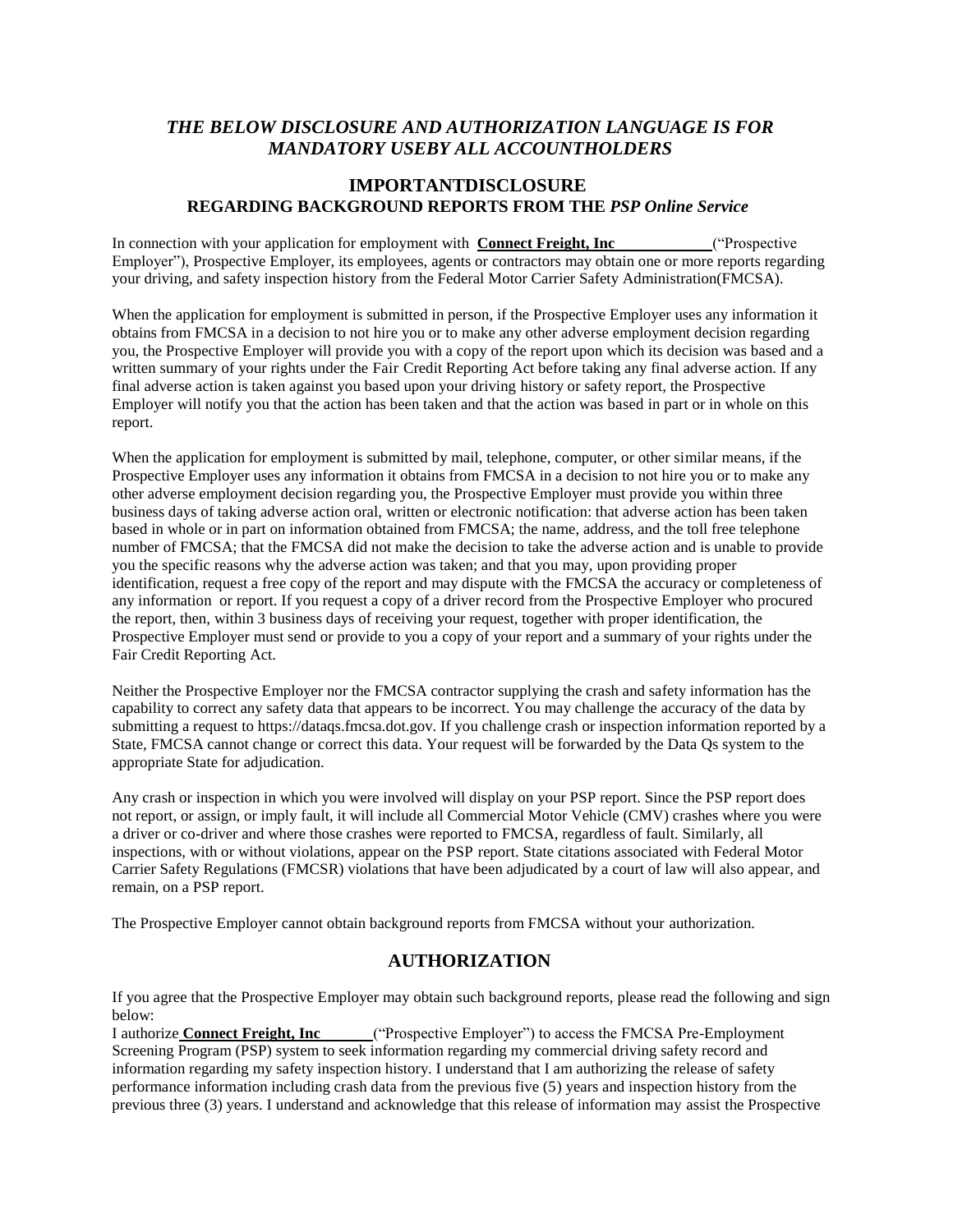## *THE BELOW DISCLOSURE AND AUTHORIZATION LANGUAGE IS FOR MANDATORY USEBY ALL ACCOUNTHOLDERS*

## **IMPORTANTDISCLOSURE REGARDING BACKGROUND REPORTS FROM THE** *PSP Online Service*

In connection with your application for employment with **Connect Freight, Inc** ("Prospective Employer"), Prospective Employer, its employees, agents or contractors may obtain one or more reports regarding your driving, and safety inspection history from the Federal Motor Carrier Safety Administration(FMCSA).

When the application for employment is submitted in person, if the Prospective Employer uses any information it obtains from FMCSA in a decision to not hire you or to make any other adverse employment decision regarding you, the Prospective Employer will provide you with a copy of the report upon which its decision was based and a written summary of your rights under the Fair Credit Reporting Act before taking any final adverse action. If any final adverse action is taken against you based upon your driving history or safety report, the Prospective Employer will notify you that the action has been taken and that the action was based in part or in whole on this report.

When the application for employment is submitted by mail, telephone, computer, or other similar means, if the Prospective Employer uses any information it obtains from FMCSA in a decision to not hire you or to make any other adverse employment decision regarding you, the Prospective Employer must provide you within three business days of taking adverse action oral, written or electronic notification: that adverse action has been taken based in whole or in part on information obtained from FMCSA; the name, address, and the toll free telephone number of FMCSA; that the FMCSA did not make the decision to take the adverse action and is unable to provide you the specific reasons why the adverse action was taken; and that you may, upon providing proper identification, request a free copy of the report and may dispute with the FMCSA the accuracy or completeness of any information or report. If you request a copy of a driver record from the Prospective Employer who procured the report, then, within 3 business days of receiving your request, together with proper identification, the Prospective Employer must send or provide to you a copy of your report and a summary of your rights under the Fair Credit Reporting Act.

Neither the Prospective Employer nor the FMCSA contractor supplying the crash and safety information has the capability to correct any safety data that appears to be incorrect. You may challenge the accuracy of the data by submitting a request to https://dataqs.fmcsa.dot.gov. If you challenge crash or inspection information reported by a State, FMCSA cannot change or correct this data. Your request will be forwarded by the Data Qs system to the appropriate State for adjudication.

Any crash or inspection in which you were involved will display on your PSP report. Since the PSP report does not report, or assign, or imply fault, it will include all Commercial Motor Vehicle (CMV) crashes where you were a driver or co-driver and where those crashes were reported to FMCSA, regardless of fault. Similarly, all inspections, with or without violations, appear on the PSP report. State citations associated with Federal Motor Carrier Safety Regulations (FMCSR) violations that have been adjudicated by a court of law will also appear, and remain, on a PSP report.

The Prospective Employer cannot obtain background reports from FMCSA without your authorization.

## **AUTHORIZATION**

If you agree that the Prospective Employer may obtain such background reports, please read the following and sign below:

I authorize **Connect Freight, Inc** ("Prospective Employer") to access the FMCSA Pre-Employment Screening Program (PSP) system to seek information regarding my commercial driving safety record and information regarding my safety inspection history. I understand that I am authorizing the release of safety performance information including crash data from the previous five (5) years and inspection history from the previous three (3) years. I understand and acknowledge that this release of information may assist the Prospective